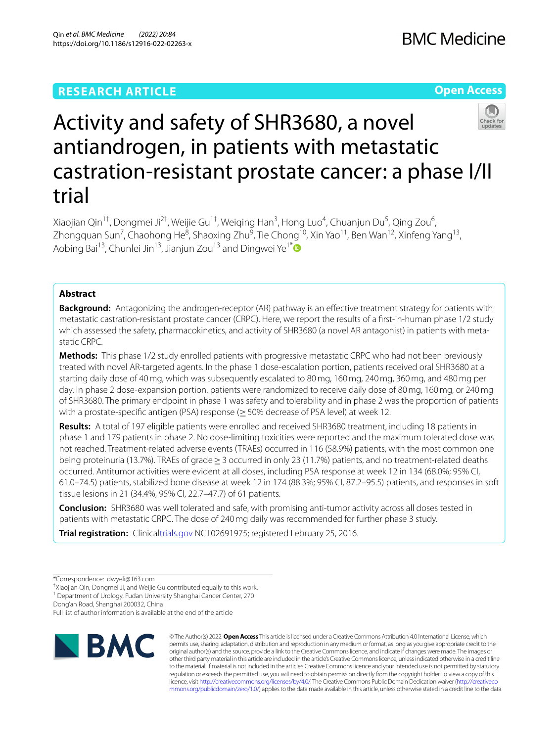# **RESEARCH ARTICLE**

# **Open Access**



# Activity and safety of SHR3680, a novel antiandrogen, in patients with metastatic castration-resistant prostate cancer: a phase I/II trial

Xiaojian Qin<sup>1†</sup>, Dongmei Ji<sup>2†</sup>, Weijie Gu<sup>1†</sup>, Weiqing Han<sup>3</sup>, Hong Luo<sup>4</sup>, Chuanjun Du<sup>5</sup>, Qing Zou<sup>6</sup>, Zhongquan Sun<sup>7</sup>, Chaohong He<sup>8</sup>, Shaoxing Zhu<sup>9</sup>, Tie Chong<sup>10</sup>, Xin Yao<sup>11</sup>, Ben Wan<sup>12</sup>, Xinfeng Yang<sup>13</sup>, Aobing Bai<sup>13</sup>, Chunlei Jin<sup>13</sup>, Jianjun Zou<sup>13</sup> and Dingwei Ye<sup>1[\\*](http://orcid.org/0000-0003-4974-3780)</sup>

# **Abstract**

**Background:** Antagonizing the androgen-receptor (AR) pathway is an effective treatment strategy for patients with metastatic castration-resistant prostate cancer (CRPC). Here, we report the results of a frst-in-human phase 1/2 study which assessed the safety, pharmacokinetics, and activity of SHR3680 (a novel AR antagonist) in patients with metastatic CRPC.

**Methods:** This phase 1/2 study enrolled patients with progressive metastatic CRPC who had not been previously treated with novel AR-targeted agents. In the phase 1 dose-escalation portion, patients received oral SHR3680 at a starting daily dose of 40mg, which was subsequently escalated to 80mg, 160mg, 240mg, 360mg, and 480mg per day. In phase 2 dose-expansion portion, patients were randomized to receive daily dose of 80mg, 160mg, or 240mg of SHR3680. The primary endpoint in phase 1 was safety and tolerability and in phase 2 was the proportion of patients with a prostate-specific antigen (PSA) response ( $\geq$  50% decrease of PSA level) at week 12.

**Results:** A total of 197 eligible patients were enrolled and received SHR3680 treatment, including 18 patients in phase 1 and 179 patients in phase 2. No dose-limiting toxicities were reported and the maximum tolerated dose was not reached. Treatment-related adverse events (TRAEs) occurred in 116 (58.9%) patients, with the most common one being proteinuria (13.7%). TRAEs of grade≥3 occurred in only 23 (11.7%) patients, and no treatment-related deaths occurred. Antitumor activities were evident at all doses, including PSA response at week 12 in 134 (68.0%; 95% CI, 61.0–74.5) patients, stabilized bone disease at week 12 in 174 (88.3%; 95% CI, 87.2–95.5) patients, and responses in soft tissue lesions in 21 (34.4%, 95% CI, 22.7–47.7) of 61 patients.

**Conclusion:** SHR3680 was well tolerated and safe, with promising anti-tumor activity across all doses tested in patients with metastatic CRPC. The dose of 240mg daily was recommended for further phase 3 study.

**Trial registration:** Clinica[ltrials.gov](http://trials.gov) NCT02691975; registered February 25, 2016.

† Xiaojian Qin, Dongmei Ji, and Weijie Gu contributed equally to this work.

<sup>1</sup> Department of Urology, Fudan University Shanghai Cancer Center, 270

Dong'an Road, Shanghai 200032, China

Full list of author information is available at the end of the article



© The Author(s) 2022. **Open Access** This article is licensed under a Creative Commons Attribution 4.0 International License, which permits use, sharing, adaptation, distribution and reproduction in any medium or format, as long as you give appropriate credit to the original author(s) and the source, provide a link to the Creative Commons licence, and indicate if changes were made. The images or other third party material in this article are included in the article's Creative Commons licence, unless indicated otherwise in a credit line to the material. If material is not included in the article's Creative Commons licence and your intended use is not permitted by statutory regulation or exceeds the permitted use, you will need to obtain permission directly from the copyright holder. To view a copy of this licence, visit [http://creativecommons.org/licenses/by/4.0/.](http://creativecommons.org/licenses/by/4.0/) The Creative Commons Public Domain Dedication waiver ([http://creativeco](http://creativecommons.org/publicdomain/zero/1.0/) [mmons.org/publicdomain/zero/1.0/](http://creativecommons.org/publicdomain/zero/1.0/)) applies to the data made available in this article, unless otherwise stated in a credit line to the data.

<sup>\*</sup>Correspondence: dwyeli@163.com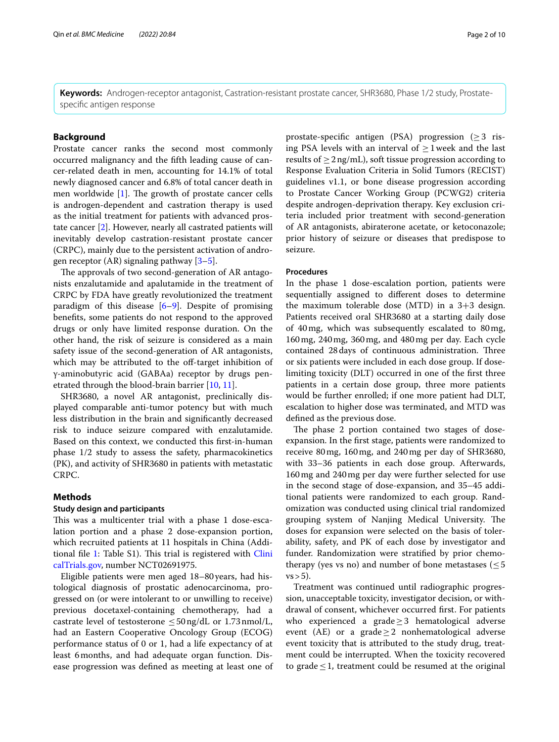**Keywords:** Androgen-receptor antagonist, Castration-resistant prostate cancer, SHR3680, Phase 1/2 study, Prostatespecifc antigen response

# **Background**

Prostate cancer ranks the second most commonly occurred malignancy and the ffth leading cause of cancer-related death in men, accounting for 14.1% of total newly diagnosed cancer and 6.8% of total cancer death in men worldwide  $[1]$  $[1]$ . The growth of prostate cancer cells is androgen-dependent and castration therapy is used as the initial treatment for patients with advanced prostate cancer [\[2](#page-9-1)]. However, nearly all castrated patients will inevitably develop castration-resistant prostate cancer (CRPC), mainly due to the persistent activation of androgen receptor (AR) signaling pathway [[3](#page-9-2)[–5](#page-9-3)].

The approvals of two second-generation of AR antagonists enzalutamide and apalutamide in the treatment of CRPC by FDA have greatly revolutionized the treatment paradigm of this disease  $[6-9]$  $[6-9]$  $[6-9]$ . Despite of promising benefts, some patients do not respond to the approved drugs or only have limited response duration. On the other hand, the risk of seizure is considered as a main safety issue of the second-generation of AR antagonists, which may be attributed to the off-target inhibition of γ-aminobutyric acid (GABAa) receptor by drugs penetrated through the blood-brain barrier [\[10,](#page-9-6) [11](#page-9-7)].

SHR3680, a novel AR antagonist, preclinically displayed comparable anti-tumor potency but with much less distribution in the brain and signifcantly decreased risk to induce seizure compared with enzalutamide. Based on this context, we conducted this frst-in-human phase 1/2 study to assess the safety, pharmacokinetics (PK), and activity of SHR3680 in patients with metastatic CRPC.

# **Methods**

#### **Study design and participants**

This was a multicenter trial with a phase 1 dose-escalation portion and a phase 2 dose-expansion portion, which recruited patients at 11 hospitals in China (Additional file  $1$ : Table S1). This trial is registered with [Clini](http://clinicaltrials.gov) [calTrials.gov,](http://clinicaltrials.gov) number NCT02691975.

Eligible patients were men aged 18–80years, had histological diagnosis of prostatic adenocarcinoma, progressed on (or were intolerant to or unwilling to receive) previous docetaxel-containing chemotherapy, had a castrate level of testosterone  $\leq$  50ng/dL or 1.73 nmol/L, had an Eastern Cooperative Oncology Group (ECOG) performance status of 0 or 1, had a life expectancy of at least 6months, and had adequate organ function. Disease progression was defned as meeting at least one of

prostate-specific antigen (PSA) progression ( $\geq$ 3 rising PSA levels with an interval of  $\geq 1$  week and the last results of  $\geq 2$ ng/mL), soft tissue progression according to Response Evaluation Criteria in Solid Tumors (RECIST) guidelines v1.1, or bone disease progression according to Prostate Cancer Working Group (PCWG2) criteria despite androgen-deprivation therapy. Key exclusion criteria included prior treatment with second-generation of AR antagonists, abiraterone acetate, or ketoconazole; prior history of seizure or diseases that predispose to seizure.

#### **Procedures**

In the phase 1 dose-escalation portion, patients were sequentially assigned to diferent doses to determine the maximum tolerable dose (MTD) in a 3+3 design. Patients received oral SHR3680 at a starting daily dose of 40mg, which was subsequently escalated to 80mg, 160mg, 240mg, 360mg, and 480mg per day. Each cycle contained 28 days of continuous administration. Three or six patients were included in each dose group. If doselimiting toxicity (DLT) occurred in one of the frst three patients in a certain dose group, three more patients would be further enrolled; if one more patient had DLT, escalation to higher dose was terminated, and MTD was defned as the previous dose.

The phase 2 portion contained two stages of doseexpansion. In the frst stage, patients were randomized to receive 80mg, 160mg, and 240mg per day of SHR3680, with 33–36 patients in each dose group. Afterwards, 160mg and 240mg per day were further selected for use in the second stage of dose-expansion, and 35–45 additional patients were randomized to each group. Randomization was conducted using clinical trial randomized grouping system of Nanjing Medical University. The doses for expansion were selected on the basis of tolerability, safety, and PK of each dose by investigator and funder. Randomization were stratifed by prior chemotherapy (yes vs no) and number of bone metastases ( $\leq 5$  $vs > 5$ ).

Treatment was continued until radiographic progression, unacceptable toxicity, investigator decision, or withdrawal of consent, whichever occurred frst. For patients who experienced a grade≥3 hematological adverse event (AE) or a grade $\geq$  2 nonhematological adverse event toxicity that is attributed to the study drug, treatment could be interrupted. When the toxicity recovered to grade  $\leq$  1, treatment could be resumed at the original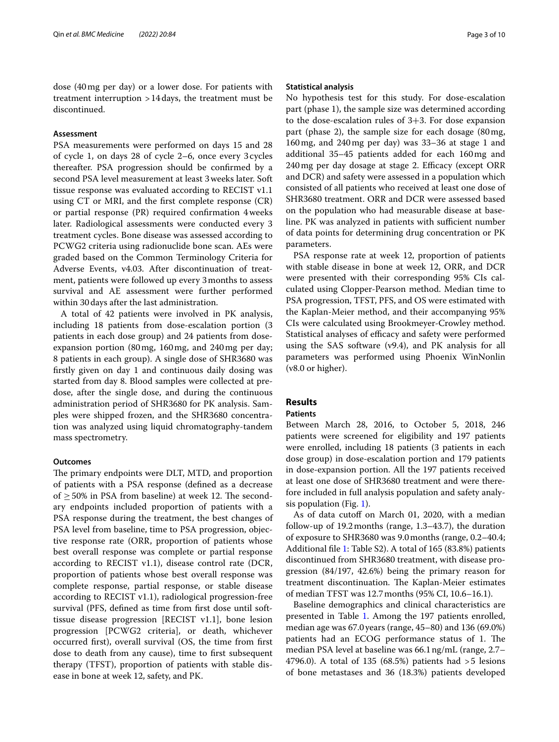dose (40mg per day) or a lower dose. For patients with treatment interruption >14days, the treatment must be discontinued.

# **Assessment**

PSA measurements were performed on days 15 and 28 of cycle 1, on days 28 of cycle 2–6, once every 3cycles thereafter. PSA progression should be confrmed by a second PSA level measurement at least 3weeks later. Soft tissue response was evaluated according to RECIST v1.1 using CT or MRI, and the frst complete response (CR) or partial response (PR) required confrmation 4weeks later. Radiological assessments were conducted every 3 treatment cycles. Bone disease was assessed according to PCWG2 criteria using radionuclide bone scan. AEs were graded based on the Common Terminology Criteria for Adverse Events, v4.03. After discontinuation of treatment, patients were followed up every 3months to assess survival and AE assessment were further performed within 30days after the last administration.

A total of 42 patients were involved in PK analysis, including 18 patients from dose-escalation portion (3 patients in each dose group) and 24 patients from doseexpansion portion (80mg, 160mg, and 240mg per day; 8 patients in each group). A single dose of SHR3680 was frstly given on day 1 and continuous daily dosing was started from day 8. Blood samples were collected at predose, after the single dose, and during the continuous administration period of SHR3680 for PK analysis. Samples were shipped frozen, and the SHR3680 concentration was analyzed using liquid chromatography-tandem mass spectrometry.

#### **Outcomes**

The primary endpoints were DLT, MTD, and proportion of patients with a PSA response (defned as a decrease of  $\geq$  50% in PSA from baseline) at week 12. The secondary endpoints included proportion of patients with a PSA response during the treatment, the best changes of PSA level from baseline, time to PSA progression, objective response rate (ORR, proportion of patients whose best overall response was complete or partial response according to RECIST v1.1), disease control rate (DCR, proportion of patients whose best overall response was complete response, partial response, or stable disease according to RECIST v1.1), radiological progression-free survival (PFS, defned as time from frst dose until softtissue disease progression [RECIST v1.1], bone lesion progression [PCWG2 criteria], or death, whichever occurred frst), overall survival (OS, the time from frst dose to death from any cause), time to frst subsequent therapy (TFST), proportion of patients with stable disease in bone at week 12, safety, and PK.

#### **Statistical analysis**

No hypothesis test for this study. For dose-escalation part (phase 1), the sample size was determined according to the dose-escalation rules of 3+3. For dose expansion part (phase 2), the sample size for each dosage (80mg, 160mg, and 240mg per day) was 33–36 at stage 1 and additional 35–45 patients added for each 160mg and 240 mg per day dosage at stage 2. Efficacy (except ORR and DCR) and safety were assessed in a population which consisted of all patients who received at least one dose of SHR3680 treatment. ORR and DCR were assessed based on the population who had measurable disease at baseline. PK was analyzed in patients with sufficient number of data points for determining drug concentration or PK parameters.

PSA response rate at week 12, proportion of patients with stable disease in bone at week 12, ORR, and DCR were presented with their corresponding 95% CIs calculated using Clopper-Pearson method. Median time to PSA progression, TFST, PFS, and OS were estimated with the Kaplan-Meier method, and their accompanying 95% CIs were calculated using Brookmeyer-Crowley method. Statistical analyses of efficacy and safety were performed using the SAS software (v9.4), and PK analysis for all parameters was performed using Phoenix WinNonlin (v8.0 or higher).

# **Results**

#### **Patients**

Between March 28, 2016, to October 5, 2018, 246 patients were screened for eligibility and 197 patients were enrolled, including 18 patients (3 patients in each dose group) in dose-escalation portion and 179 patients in dose-expansion portion. All the 197 patients received at least one dose of SHR3680 treatment and were therefore included in full analysis population and safety analysis population (Fig. [1](#page-3-0)).

As of data cutoff on March 01, 2020, with a median follow-up of 19.2months (range, 1.3–43.7), the duration of exposure to SHR3680 was 9.0months (range, 0.2–40.4; Additional fle [1:](#page-8-0) Table S2). A total of 165 (83.8%) patients discontinued from SHR3680 treatment, with disease progression (84/197, 42.6%) being the primary reason for treatment discontinuation. The Kaplan-Meier estimates of median TFST was 12.7months (95% CI, 10.6–16.1).

Baseline demographics and clinical characteristics are presented in Table [1](#page-4-0). Among the 197 patients enrolled, median age was 67.0years (range, 45–80) and 136 (69.0%) patients had an ECOG performance status of 1. The median PSA level at baseline was 66.1ng/mL (range, 2.7– 4796.0). A total of 135 (68.5%) patients had >5 lesions of bone metastases and 36 (18.3%) patients developed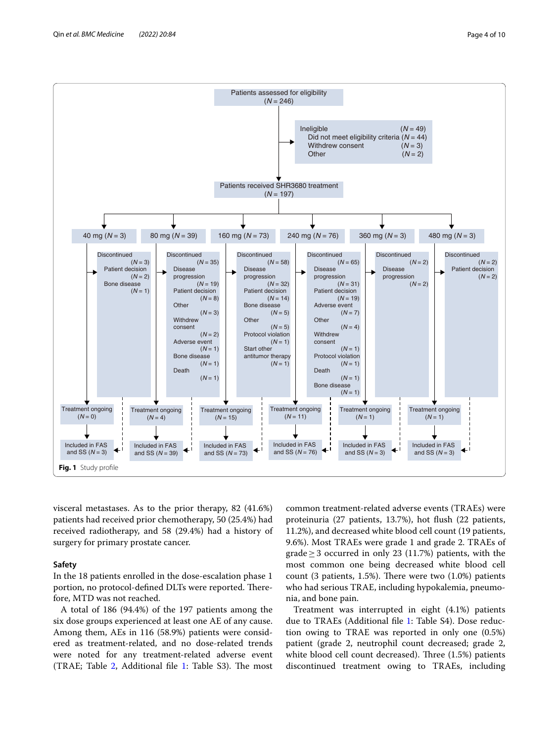

<span id="page-3-0"></span>visceral metastases. As to the prior therapy, 82 (41.6%) patients had received prior chemotherapy, 50 (25.4%) had received radiotherapy, and 58 (29.4%) had a history of surgery for primary prostate cancer.

## **Safety**

In the 18 patients enrolled in the dose-escalation phase 1 portion, no protocol-defined DLTs were reported. Therefore, MTD was not reached.

A total of 186 (94.4%) of the 197 patients among the six dose groups experienced at least one AE of any cause. Among them, AEs in 116 (58.9%) patients were considered as treatment-related, and no dose-related trends were noted for any treatment-related adverse event (TRAE; Table [2](#page-5-0), Additional file [1:](#page-8-0) Table S3). The most

common treatment-related adverse events (TRAEs) were proteinuria (27 patients, 13.7%), hot fush (22 patients, 11.2%), and decreased white blood cell count (19 patients, 9.6%). Most TRAEs were grade 1 and grade 2. TRAEs of grade≥3 occurred in only 23 (11.7%) patients, with the most common one being decreased white blood cell count (3 patients, 1.5%). There were two  $(1.0\%)$  patients who had serious TRAE, including hypokalemia, pneumonia, and bone pain.

Treatment was interrupted in eight (4.1%) patients due to TRAEs (Additional fle [1](#page-8-0): Table S4). Dose reduction owing to TRAE was reported in only one (0.5%) patient (grade 2, neutrophil count decreased; grade 2, white blood cell count decreased). Three  $(1.5%)$  patients discontinued treatment owing to TRAEs, including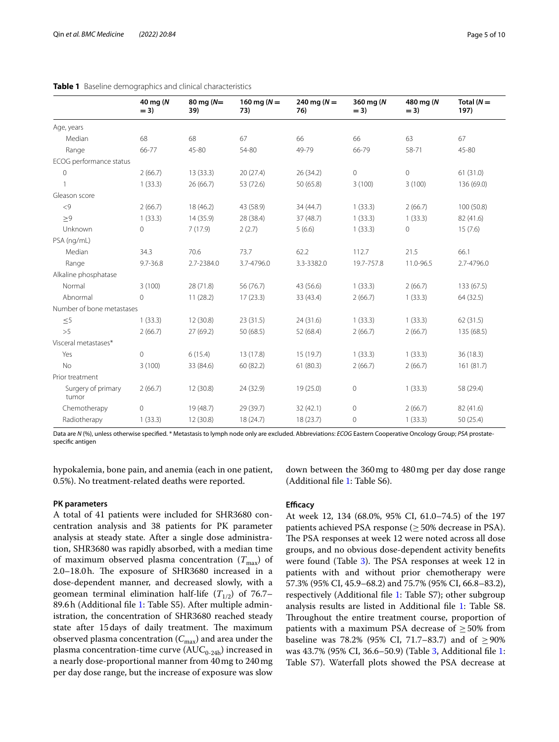|                             | 40 mg (N<br>$= 3)$ | 80 mg $(N=$<br>39) | 160 mg ( $N =$<br>73) | 240 mg ( $N =$<br>76) | 360 mg (N<br>$= 3$ | 480 mg (N<br>$=$ 3) | Total $(N =$<br>197) |
|-----------------------------|--------------------|--------------------|-----------------------|-----------------------|--------------------|---------------------|----------------------|
| Age, years                  |                    |                    |                       |                       |                    |                     |                      |
| Median                      | 68                 | 68                 | 67                    | 66                    | 66                 | 63                  | 67                   |
| Range                       | 66-77              | 45-80              | 54-80                 | 49-79                 | 66-79              | 58-71               | 45-80                |
| ECOG performance status     |                    |                    |                       |                       |                    |                     |                      |
| $\mathbf 0$                 | 2(66.7)            | 13(33.3)           | 20(27.4)              | 26 (34.2)             | $\circ$            | $\mathsf{O}\xspace$ | 61(31.0)             |
|                             | 1(33.3)            | 26(66.7)           | 53 (72.6)             | 50 (65.8)             | 3(100)             | 3(100)              | 136 (69.0)           |
| Gleason score               |                    |                    |                       |                       |                    |                     |                      |
| < 9                         | 2(66.7)            | 18 (46.2)          | 43 (58.9)             | 34 (44.7)             | 1(33.3)            | 2(66.7)             | 100 (50.8)           |
| $\geq 9$                    | 1(33.3)            | 14 (35.9)          | 28 (38.4)             | 37 (48.7)             | 1(33.3)            | 1(33.3)             | 82 (41.6)            |
| Unknown                     | $\circ$            | 7(17.9)            | 2(2.7)                | 5(6.6)                | 1(33.3)            | $\mathbf 0$         | 15(7.6)              |
| PSA (ng/mL)                 |                    |                    |                       |                       |                    |                     |                      |
| Median                      | 34.3               | 70.6               | 73.7                  | 62.2                  | 112.7              | 21.5                | 66.1                 |
| Range                       | $9.7 - 36.8$       | 2.7-2384.0         | 3.7-4796.0            | 3.3-3382.0            | 19.7-757.8         | 11.0-96.5           | 2.7-4796.0           |
| Alkaline phosphatase        |                    |                    |                       |                       |                    |                     |                      |
| Normal                      | 3(100)             | 28 (71.8)          | 56 (76.7)             | 43 (56.6)             | 1(33.3)            | 2(66.7)             | 133(67.5)            |
| Abnormal                    | $\circ$            | 11(28.2)           | 17(23.3)              | 33 (43.4)             | 2(66.7)            | 1(33.3)             | 64 (32.5)            |
| Number of bone metastases   |                    |                    |                       |                       |                    |                     |                      |
| $\leq 5$                    | 1(33.3)            | 12(30.8)           | 23(31.5)              | 24 (31.6)             | 1(33.3)            | 1(33.3)             | 62(31.5)             |
| >5                          | 2(66.7)            | 27(69.2)           | 50 (68.5)             | 52 (68.4)             | 2(66.7)            | 2(66.7)             | 135 (68.5)           |
| Visceral metastases*        |                    |                    |                       |                       |                    |                     |                      |
| Yes                         | $\mathbf{0}$       | 6(15.4)            | 13 (17.8)             | 15 (19.7)             | 1(33.3)            | 1(33.3)             | 36(18.3)             |
| No                          | 3(100)             | 33 (84.6)          | 60 (82.2)             | 61(80.3)              | 2(66.7)            | 2(66.7)             | 161 (81.7)           |
| Prior treatment             |                    |                    |                       |                       |                    |                     |                      |
| Surgery of primary<br>tumor | 2(66.7)            | 12 (30.8)          | 24 (32.9)             | 19 (25.0)             | $\circ$            | 1(33.3)             | 58 (29.4)            |
| Chemotherapy                | $\circ$            | 19 (48.7)          | 29 (39.7)             | 32(42.1)              | 0                  | 2(66.7)             | 82 (41.6)            |
| Radiotherapy                | 1(33.3)            | 12 (30.8)          | 18 (24.7)             | 18(23.7)              | 0                  | 1(33.3)             | 50 (25.4)            |

#### <span id="page-4-0"></span>**Table 1** Baseline demographics and clinical characteristics

Data are *N* (%), unless otherwise specifed. \* Metastasis to lymph node only are excluded. Abbreviations: *ECOG* Eastern Cooperative Oncology Group; *PSA* prostatespecifc antigen

hypokalemia, bone pain, and anemia (each in one patient, 0.5%). No treatment-related deaths were reported.

#### **PK parameters**

A total of 41 patients were included for SHR3680 concentration analysis and 38 patients for PK parameter analysis at steady state. After a single dose administration, SHR3680 was rapidly absorbed, with a median time of maximum observed plasma concentration  $(T_{\text{max}})$  of 2.0–18.0h. The exposure of SHR3680 increased in a dose-dependent manner, and decreased slowly, with a geomean terminal elimination half-life  $(T_{1/2})$  of 76.7– 89.6h (Additional fle [1](#page-8-0): Table S5). After multiple administration, the concentration of SHR3680 reached steady state after 15 days of daily treatment. The maximum observed plasma concentration ( $C_{\text{max}}$ ) and area under the plasma concentration-time curve  $(AUC_{0-24h})$  increased in a nearly dose-proportional manner from 40mg to 240mg per day dose range, but the increase of exposure was slow

down between the 360mg to 480mg per day dose range (Additional fle [1](#page-8-0): Table S6).

## **Efficacy**

At week 12, 134 (68.0%, 95% CI, 61.0–74.5) of the 197 patients achieved PSA response ( $\geq$  50% decrease in PSA). The PSA responses at week 12 were noted across all dose groups, and no obvious dose-dependent activity benefts were found (Table  $3$ ). The PSA responses at week 12 in patients with and without prior chemotherapy were 57.3% (95% CI, 45.9–68.2) and 75.7% (95% CI, 66.8–83.2), respectively (Additional fle [1](#page-8-0): Table S7); other subgroup analysis results are listed in Additional fle [1](#page-8-0): Table S8. Throughout the entire treatment course, proportion of patients with a maximum PSA decrease of  $\geq$  50% from baseline was 78.2% (95% CI, 71.7–83.7) and of  $\geq$  90% was 43.7% (95% CI, 36.6–50.9) (Table [3](#page-5-1), Additional fle [1](#page-8-0): Table S7). Waterfall plots showed the PSA decrease at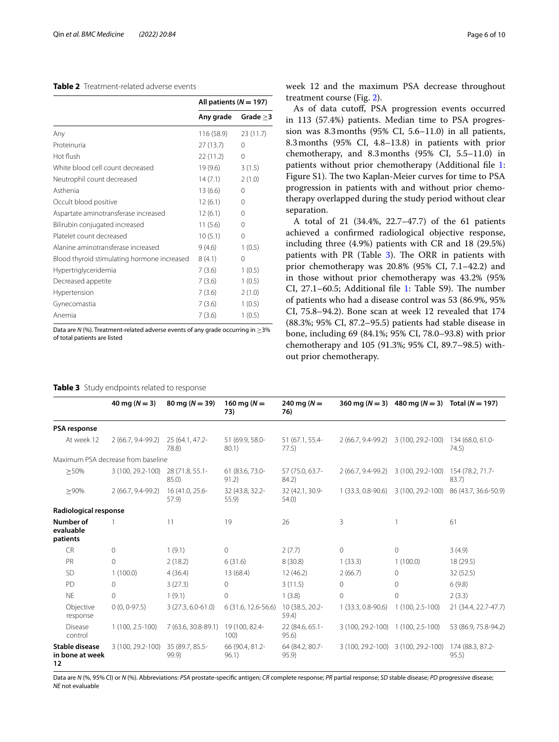# <span id="page-5-0"></span>**Table 2** Treatment-related adverse events

| All patients ( $N = 197$ ) |            |  |
|----------------------------|------------|--|
| Any grade                  | Grade $>3$ |  |
| 116 (58.9)                 | 23(11.7)   |  |
| 27(13.7)                   | $\Omega$   |  |
| 22(11.2)                   | 0          |  |
| 19 (9.6)                   | 3(1.5)     |  |
| 14(7.1)                    | 2(1.0)     |  |
| 13(6.6)                    | $\Omega$   |  |
| 12(6.1)                    | $\Omega$   |  |
| 12(6.1)                    | $\Omega$   |  |
| 11(5.6)                    | $\Omega$   |  |
| 10(5.1)                    | $\Omega$   |  |
| 9(4.6)                     | 1(0.5)     |  |
| 8(4.1)                     | $\Omega$   |  |
| 7(3.6)                     | 1(0.5)     |  |
| 7(3.6)                     | 1(0.5)     |  |
| 7(3.6)                     | 2(1.0)     |  |
| 7(3.6)                     | 1(0.5)     |  |
| 7 (3.6)                    | 1(0.5)     |  |
|                            |            |  |

Data are *N* (%). Treatment-related adverse events of any grade occurring in ≥3% of total patients are listed

**40 mg (***N* **= 3) 80 mg (***N* **= 39) 160 mg (***N* **=**

**73)**

# <span id="page-5-1"></span>**Table 3** Study endpoints related to response

week 12 and the maximum PSA decrease throughout treatment course (Fig. [2\)](#page-6-0).

As of data cutof, PSA progression events occurred in 113 (57.4%) patients. Median time to PSA progression was 8.3months (95% CI, 5.6–11.0) in all patients, 8.3months (95% CI, 4.8–13.8) in patients with prior chemotherapy, and 8.3months (95% CI, 5.5–11.0) in patients without prior chemotherapy (Additional fle [1](#page-8-0): Figure S1). The two Kaplan-Meier curves for time to PSA progression in patients with and without prior chemotherapy overlapped during the study period without clear separation.

A total of 21 (34.4%, 22.7–47.7) of the 61 patients achieved a confrmed radiological objective response, including three (4.9%) patients with CR and 18 (29.5%) patients with PR (Table  $3$ ). The ORR in patients with prior chemotherapy was 20.8% (95% CI, 7.1–42.2) and in those without prior chemotherapy was 43.2% (95% CI,  $27.1-60.5$ ; Additional file [1:](#page-8-0) Table S9). The number of patients who had a disease control was 53 (86.9%, 95% CI, 75.8–94.2). Bone scan at week 12 revealed that 174 (88.3%; 95% CI, 87.2–95.5) patients had stable disease in bone, including 69 (84.1%; 95% CI, 78.0–93.8) with prior chemotherapy and 105 (91.3%; 95% CI, 89.7–98.5) without prior chemotherapy.

**360 mg (***N* **= 3) 480 mg (***N* **= 3) Total (***N* **= 197)**

**PSA response** At week 12 2 (66.7, 9.4-99.2) 25 (64.1, 47.2- 78.8) 51 (69.9, 58.0- 80.1) 51 (67.1, 55.4- 77.5) 2 (66.7, 9.4-99.2) 3 (100, 29.2-100) 134 (68.0, 61.0- 74.5) Maximum PSA decrease from baseline ≥50% 3 (100, 29.2-100) 28 (71.8, 55.1- 85.0) 61 (83.6, 73.0- 91.2) 57 (75.0, 63.7- 84.2) 2 (66.7, 9.4-99.2) 3 (100, 29.2-100) 154 (78.2, 71.7- 83.7) ≥90% 2 (66.7, 9.4-99.2) 16 (41.0, 25.6- 57.9) 32 (43.8, 32.2- 55.9) 32 (42.1, 30.9- 54.0) 1 (33.3, 0.8-90.6) 3 (100, 29.2-100) 86 (43.7, 36.6-50.9) **Radiological response Number of evaluable patients** 1 11 19 26 3 1 61 CR 0 1 (9.1) 0 2 (7.7) 0 0 3 (4.9) PR 0 2 (18.2) 6 (31.6) 8 (30.8) 1 (33.3) 1 (100.0) 18 (29.5) SD 1 (100.0) 4 (36.4) 13 (68.4) 12 (46.2) 2 (66.7) 0 32 (52.5) PD 0 3 (27.3) 0 3 (11.5) 0 0 6 (9.8) NE 0 1 (9.1) 0 1 (3.8) 0 0 2 (3.3) Objective response 0 (0, 0-97.5) 3 (27.3, 6.0-61.0) 6 (31.6, 12.6-56.6) 10 (38.5, 20.2- 59.4) 1 (33.3, 0.8-90.6) 1 (100, 2.5-100) 21 (34.4, 22.7-47.7) Disease control 1 (100, 2.5-100) 7 (63.6, 30.8-89.1) 19 (100, 82.4- 100) 22 (84.6, 65.1- 95.6) 3 (100, 29.2-100) 1 (100, 2.5-100) 53 (86.9, 75.8-94.2) **Stable disease in bone at week 12** 3 (100, 29.2-100) 35 (89.7, 85.5- 99.9) 66 (90.4, 81.2- 96.1) 64 (84.2, 80.7- 95.9) 3 (100, 29.2-100) 3 (100, 29.2-100) 174 (88.3, 87.2- 95.5)

**240 mg (***N* **= 76)**

Data are *N* (%, 95% CI) or *N* (%). Abbreviations: *PSA* prostate-specifc antigen; *CR* complete response; *PR* partial response; *SD* stable disease; *PD* progressive disease; *NE* not evaluable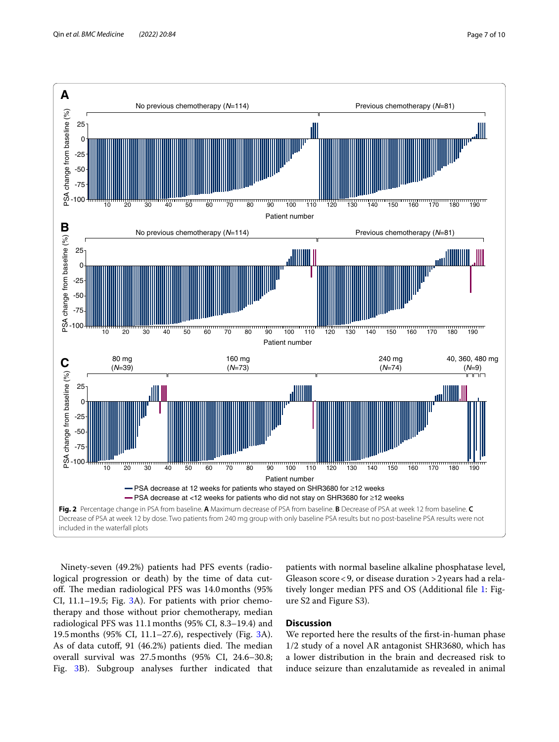

<span id="page-6-0"></span>Ninety-seven (49.2%) patients had PFS events (radiological progression or death) by the time of data cutoff. The median radiological PFS was 14.0 months (95%) CI, 11.1–19.5; Fig. [3A](#page-7-0)). For patients with prior chemotherapy and those without prior chemotherapy, median radiological PFS was 11.1months (95% CI, 8.3–19.4) and 19.5months (95% CI, 11.1–27.6), respectively (Fig. [3](#page-7-0)A). As of data cutoff, 91 (46.2%) patients died. The median overall survival was 27.5months (95% CI, 24.6–30.8; Fig. [3](#page-7-0)B). Subgroup analyses further indicated that patients with normal baseline alkaline phosphatase level, Gleason score<9, or disease duration >2years had a rela-tively longer median PFS and OS (Additional file [1](#page-8-0): Figure S2 and Figure S3).

# **Discussion**

We reported here the results of the frst-in-human phase 1/2 study of a novel AR antagonist SHR3680, which has a lower distribution in the brain and decreased risk to induce seizure than enzalutamide as revealed in animal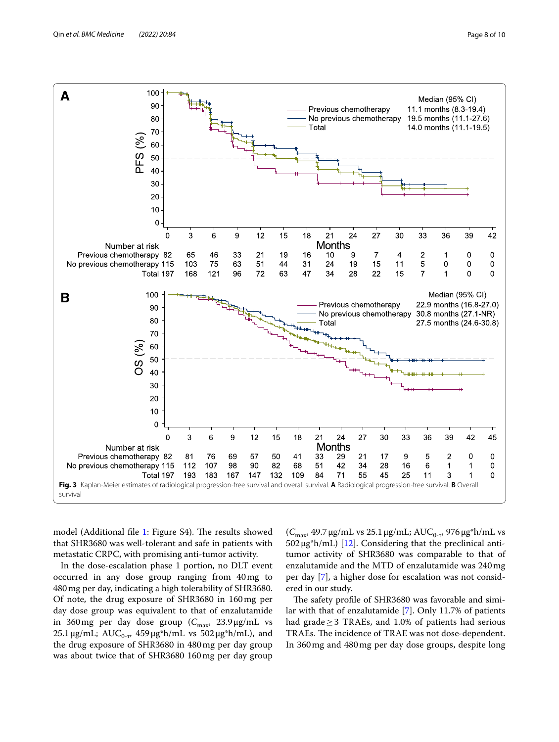

<span id="page-7-0"></span>model (Additional file [1:](#page-8-0) Figure S4). The results showed that SHR3680 was well-tolerant and safe in patients with metastatic CRPC, with promising anti-tumor activity.

In the dose-escalation phase 1 portion, no DLT event occurred in any dose group ranging from 40mg to 480mg per day, indicating a high tolerability of SHR3680. Of note, the drug exposure of SHR3680 in 160mg per day dose group was equivalent to that of enzalutamide in 360mg per day dose group  $(C_{\text{max}}$ , 23.9 µg/mL vs 25.1 μg/mL; AUC<sub>0-τ</sub>, 459 μg\*h/mL vs 502 μg\*h/mL), and the drug exposure of SHR3680 in 480mg per day group was about twice that of SHR3680 160mg per day group

(C<sub>max</sub>, 49.7 μg/mL vs 25.1 μg/mL; AUC<sub>0-τ</sub>, 976 μg\*h/mL vs  $502 \mu g^* h/mL$  [[12](#page-9-8)]. Considering that the preclinical antitumor activity of SHR3680 was comparable to that of enzalutamide and the MTD of enzalutamide was 240mg per day [[7\]](#page-9-9), a higher dose for escalation was not considered in our study.

The safety profile of SHR3680 was favorable and similar with that of enzalutamide [\[7](#page-9-9)]. Only 11.7% of patients had grade $\geq$  3 TRAEs, and 1.0% of patients had serious TRAEs. The incidence of TRAE was not dose-dependent. In 360mg and 480mg per day dose groups, despite long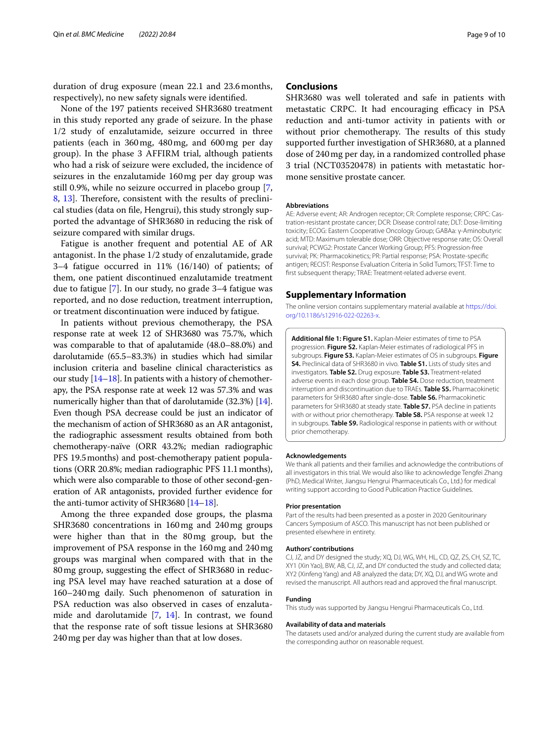duration of drug exposure (mean 22.1 and 23.6months, respectively), no new safety signals were identifed.

None of the 197 patients received SHR3680 treatment in this study reported any grade of seizure. In the phase 1/2 study of enzalutamide, seizure occurred in three patients (each in 360mg, 480mg, and 600mg per day group). In the phase 3 AFFIRM trial, although patients who had a risk of seizure were excluded, the incidence of seizures in the enzalutamide 160mg per day group was still 0.9%, while no seizure occurred in placebo group [\[7](#page-9-9), [8,](#page-9-10) [13](#page-9-11)]. Therefore, consistent with the results of preclinical studies (data on fle, Hengrui), this study strongly supported the advantage of SHR3680 in reducing the risk of seizure compared with similar drugs.

Fatigue is another frequent and potential AE of AR antagonist. In the phase 1/2 study of enzalutamide, grade 3–4 fatigue occurred in 11% (16/140) of patients; of them, one patient discontinued enzalutamide treatment due to fatigue [\[7](#page-9-9)]. In our study, no grade 3–4 fatigue was reported, and no dose reduction, treatment interruption, or treatment discontinuation were induced by fatigue.

In patients without previous chemotherapy, the PSA response rate at week 12 of SHR3680 was 75.7%, which was comparable to that of apalutamide (48.0–88.0%) and darolutamide (65.5–83.3%) in studies which had similar inclusion criteria and baseline clinical characteristics as our study [[14](#page-9-12)[–18\]](#page-9-13). In patients with a history of chemotherapy, the PSA response rate at week 12 was 57.3% and was numerically higher than that of darolutamide (32.3%) [[14](#page-9-12)]. Even though PSA decrease could be just an indicator of the mechanism of action of SHR3680 as an AR antagonist, the radiographic assessment results obtained from both chemotherapy-naïve (ORR 43.2%; median radiographic PFS 19.5months) and post-chemotherapy patient populations (ORR 20.8%; median radiographic PFS 11.1months), which were also comparable to those of other second-generation of AR antagonists, provided further evidence for the anti-tumor activity of SHR3680 [\[14–](#page-9-12)[18](#page-9-13)].

Among the three expanded dose groups, the plasma SHR3680 concentrations in 160mg and 240mg groups were higher than that in the 80mg group, but the improvement of PSA response in the 160mg and 240mg groups was marginal when compared with that in the 80mg group, suggesting the efect of SHR3680 in reducing PSA level may have reached saturation at a dose of 160–240mg daily. Such phenomenon of saturation in PSA reduction was also observed in cases of enzalutamide and darolutamide [[7](#page-9-9), [14](#page-9-12)]. In contrast, we found that the response rate of soft tissue lesions at SHR3680 240mg per day was higher than that at low doses.

# **Conclusions**

SHR3680 was well tolerated and safe in patients with metastatic CRPC. It had encouraging efficacy in PSA reduction and anti-tumor activity in patients with or without prior chemotherapy. The results of this study supported further investigation of SHR3680, at a planned dose of 240mg per day, in a randomized controlled phase 3 trial (NCT03520478) in patients with metastatic hormone sensitive prostate cancer.

#### **Abbreviations**

AE: Adverse event; AR: Androgen receptor; CR: Complete response; CRPC: Castration-resistant prostate cancer; DCR: Disease control rate; DLT: Dose-limiting toxicity; ECOG: Eastern Cooperative Oncology Group; GABAa: γ-Aminobutyric acid; MTD: Maximum tolerable dose; ORR: Objective response rate; OS: Overall survival; PCWG2: Prostate Cancer Working Group; PFS: Progression-free survival; PK: Pharmacokinetics; PR: Partial response; PSA: Prostate-specifc antigen; RECIST: Response Evaluation Criteria in Solid Tumors; TFST: Time to frst subsequent therapy; TRAE: Treatment-related adverse event.

## **Supplementary Information**

The online version contains supplementary material available at [https://doi.](https://doi.org/10.1186/s12916-022-02263-x) [org/10.1186/s12916-022-02263-x.](https://doi.org/10.1186/s12916-022-02263-x)

<span id="page-8-0"></span>**Additional fle 1: Figure S1.** Kaplan-Meier estimates of time to PSA progression. **Figure S2.** Kaplan-Meier estimates of radiological PFS in subgroups. **Figure S3.** Kaplan-Meier estimates of OS in subgroups. **Figure S4.** Preclinical data of SHR3680 in vivo. **Table S1.** Lists of study sites and investigators. **Table S2.** Drug exposure. **Table S3.** Treatment-related adverse events in each dose group. **Table S4.** Dose reduction, treatment interruption and discontinuation due to TRAEs. **Table S5.** Pharmacokinetic parameters for SHR3680 after single-dose. **Table S6.** Pharmacokinetic parameters for SHR3680 at steady state. **Table S7.** PSA decline in patients with or without prior chemotherapy. **Table S8.** PSA response at week 12 in subgroups. **Table S9.** Radiological response in patients with or without prior chemotherapy.

#### **Acknowledgements**

We thank all patients and their families and acknowledge the contributions of all investigators in this trial. We would also like to acknowledge Tengfei Zhang (PhD, Medical Writer, Jiangsu Hengrui Pharmaceuticals Co., Ltd.) for medical writing support according to Good Publication Practice Guidelines.

#### **Prior presentation**

Part of the results had been presented as a poster in 2020 Genitourinary Cancers Symposium of ASCO. This manuscript has not been published or presented elsewhere in entirety.

#### **Authors' contributions**

CJ, JZ, and DY designed the study; XQ, DJ, WG, WH, HL, CD, QZ, ZS, CH, SZ, TC, XY1 (Xin Yao), BW, AB, CJ, JZ, and DY conducted the study and collected data; XY2 (Xinfeng Yang) and AB analyzed the data; DY, XQ, DJ, and WG wrote and revised the manuscript. All authors read and approved the fnal manuscript.

#### **Funding**

This study was supported by Jiangsu Hengrui Pharmaceuticals Co., Ltd.

#### **Availability of data and materials**

The datasets used and/or analyzed during the current study are available from the corresponding author on reasonable request.